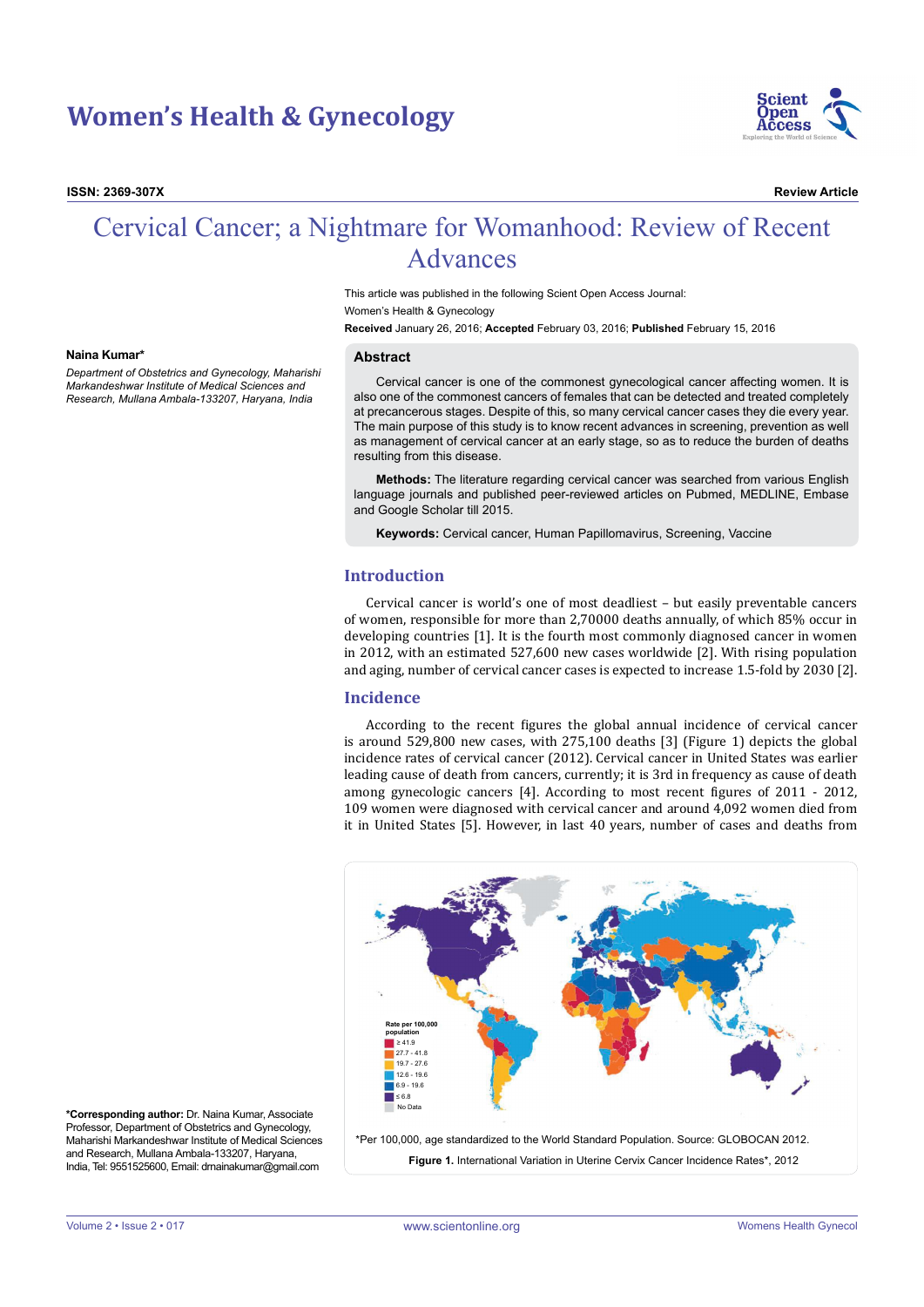# **Women's Health & Gynecology**

**ISSN: 2369-307X Review Article**



# Cervical Cancer; a Nightmare for Womanhood: Review of Recent Advances

This article was published in the following Scient Open Access Journal: Women's Health & Gynecology

**Received** January 26, 2016; **Accepted** February 03, 2016; **Published** February 15, 2016

#### **Naina Kumar\***

*Department of Obstetrics and Gynecology, Maharishi Markandeshwar Institute of Medical Sciences and Research, Mullana Ambala-133207, Haryana, India*

### **Abstract**

Cervical cancer is one of the commonest gynecological cancer affecting women. It is also one of the commonest cancers of females that can be detected and treated completely at precancerous stages. Despite of this, so many cervical cancer cases they die every year. The main purpose of this study is to know recent advances in screening, prevention as well as management of cervical cancer at an early stage, so as to reduce the burden of deaths resulting from this disease.

**Methods:** The literature regarding cervical cancer was searched from various English language journals and published peer-reviewed articles on Pubmed, MEDLINE, Embase and Google Scholar till 2015.

**Keywords:** Cervical cancer, Human Papillomavirus, Screening, Vaccine

# **Introduction**

Cervical cancer is world's one of most deadliest – but easily preventable cancers of women, responsible for more than 2,70000 deaths annually, of which 85% occur in developing countries [1]. It is the fourth most commonly diagnosed cancer in women in 2012, with an estimated 527,600 new cases worldwide [2]. With rising population and aging, number of cervical cancer cases is expected to increase 1.5-fold by 2030 [2].

## **Incidence**

According to the recent figures the global annual incidence of cervical cancer is around 529,800 new cases, with 275,100 deaths [3] (Figure 1) depicts the global incidence rates of cervical cancer (2012). Cervical cancer in United States was earlier leading cause of death from cancers, currently; it is 3rd in frequency as cause of death among gynecologic cancers [4]. According to most recent figures of 2011 - 2012, 109 women were diagnosed with cervical cancer and around 4,092 women died from it in United States [5]. However, in last 40 years, number of cases and deaths from



**\*Corresponding author:** Dr. Naina Kumar, Associate Professor, Department of Obstetrics and Gynecology, Maharishi Markandeshwar Institute of Medical Sciences and Research, Mullana Ambala-133207, Haryana, India, Tel: 9551525600, Email: drnainakumar@gmail.com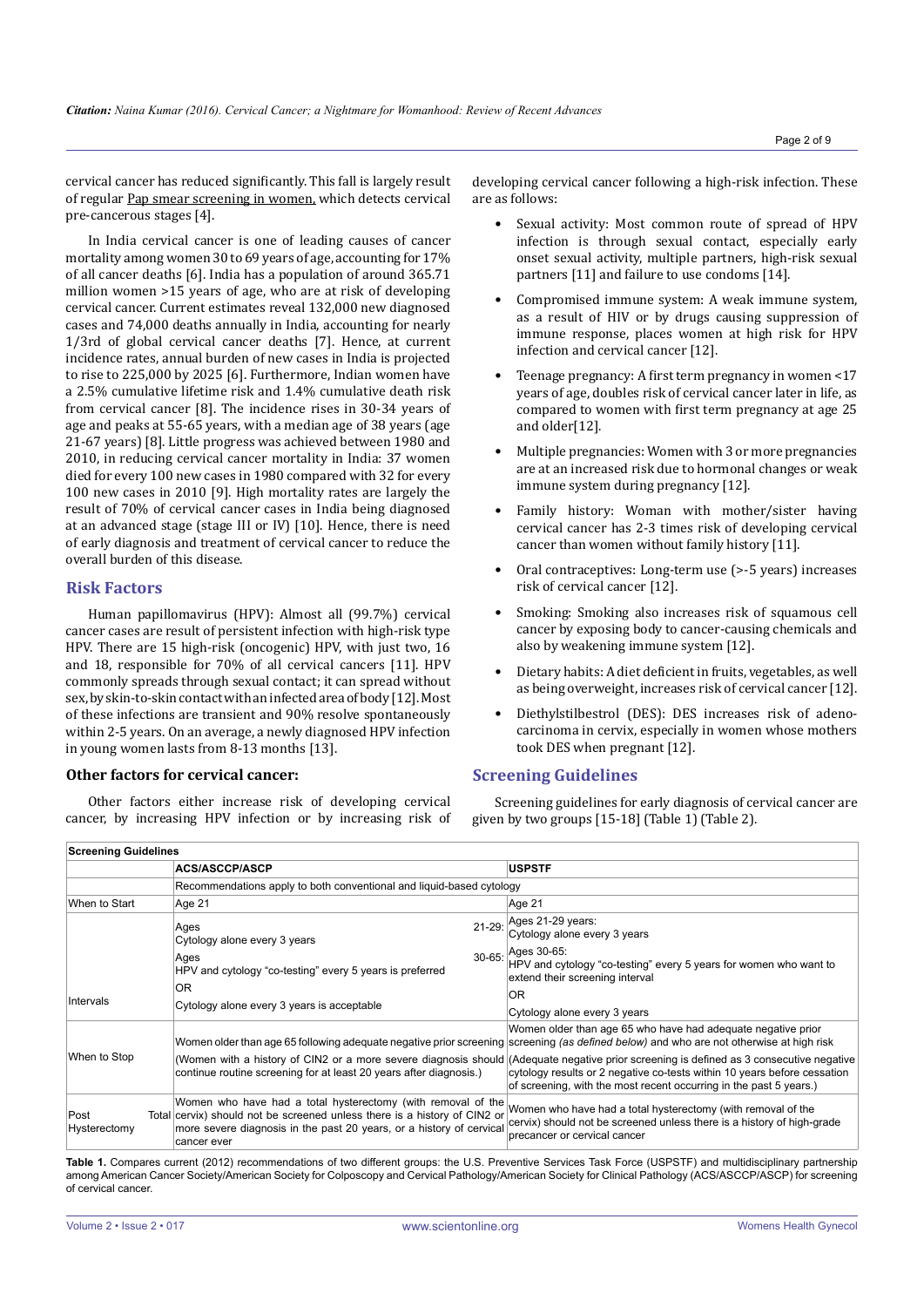cervical cancer has reduced significantly. This fall is largely result of regular [Pap smear screening in women,](http://www.cdc.gov/cancer/cervical/basic_info/screening.htm) which detects cervical pre-cancerous stages [4].

In India cervical cancer is one of leading causes of cancer mortality among women 30 to 69 years of age, accounting for 17% of all cancer deaths [6]. India has a population of around 365.71 million women >15 years of age, who are at risk of developing cervical cancer. Current estimates reveal 132,000 new diagnosed cases and 74,000 deaths annually in India, accounting for nearly 1/3rd of global cervical cancer deaths [7]. Hence, at current incidence rates, annual burden of new cases in India is projected to rise to 225,000 by 2025 [6]. Furthermore, Indian women have a 2.5% cumulative lifetime risk and 1.4% cumulative death risk from cervical cancer [8]. The incidence rises in 30-34 years of age and peaks at 55-65 years, with a median age of 38 years (age 21-67 years) [8]. Little progress was achieved between 1980 and 2010, in reducing cervical cancer mortality in India: 37 women died for every 100 new cases in 1980 compared with 32 for every 100 new cases in 2010 [9]. High mortality rates are largely the result of 70% of cervical cancer cases in India being diagnosed at an advanced stage (stage III or IV) [10]. Hence, there is need of early diagnosis and treatment of cervical cancer to reduce the overall burden of this disease.

## **Risk Factors**

Human papillomavirus (HPV): Almost all (99.7%) cervical cancer cases are result of persistent infection with high-risk type HPV. There are 15 high-risk (oncogenic) HPV, with just two, 16 and 18, responsible for 70% of all cervical cancers [11]. HPV commonly spreads through sexual contact; it can spread without sex, by skin-to-skin contact with an infected area of body [12]. Most of these infections are transient and 90% resolve spontaneously within 2-5 years. On an average, a newly diagnosed HPV infection in young women lasts from 8-13 months [13].

## **Other factors for cervical cancer:**

Other factors either increase risk of developing cervical cancer, by increasing HPV infection or by increasing risk of

developing cervical cancer following a high-risk infection. These are as follows:

- Sexual activity: Most common route of spread of HPV infection is through sexual contact, especially early onset sexual activity, multiple partners, high-risk sexual partners [11] and failure to use condoms [14].
- Compromised immune system: A weak immune system, as a result of HIV or by drugs causing suppression of immune response, places women at high risk for HPV infection and cervical cancer [12].
- Teenage pregnancy: A first term pregnancy in women <17 years of age, doubles risk of cervical cancer later in life, as compared to women with first term pregnancy at age 25 and older[12].
- Multiple pregnancies: Women with 3 or more pregnancies are at an increased risk due to hormonal changes or weak immune system during pregnancy [12].
- Family history: Woman with mother/sister having cervical cancer has 2-3 times risk of developing cervical cancer than women without family history [11].
- Oral contraceptives: Long-term use (>-5 years) increases risk of cervical cancer [12].
- Smoking: Smoking also increases risk of squamous cell cancer by exposing body to cancer-causing chemicals and also by weakening immune system [12].
- Dietary habits: A diet deficient in fruits, vegetables, as well as being overweight, increases risk of cervical cancer [12].
- Diethylstilbestrol (DES): DES increases risk of adenocarcinoma in cervix, especially in women whose mothers took DES when pregnant [12].

## **Screening Guidelines**

Screening guidelines for early diagnosis of cervical cancer are given by two groups [15-18] (Table 1) (Table 2).

| <b>Screening Guidelines</b> |                                                                                                                                                                                                                                  |                                                                                                                                                                                                                                                                                            |  |  |  |
|-----------------------------|----------------------------------------------------------------------------------------------------------------------------------------------------------------------------------------------------------------------------------|--------------------------------------------------------------------------------------------------------------------------------------------------------------------------------------------------------------------------------------------------------------------------------------------|--|--|--|
|                             | <b>ACS/ASCCP/ASCP</b>                                                                                                                                                                                                            | <b>USPSTF</b>                                                                                                                                                                                                                                                                              |  |  |  |
|                             | Recommendations apply to both conventional and liquid-based cytology                                                                                                                                                             |                                                                                                                                                                                                                                                                                            |  |  |  |
| When to Start               | Age 21                                                                                                                                                                                                                           | Age 21                                                                                                                                                                                                                                                                                     |  |  |  |
|                             | $21 - 29$ :<br>Ages<br>Cytology alone every 3 years                                                                                                                                                                              | Ages 21-29 years:<br>Cytology alone every 3 years                                                                                                                                                                                                                                          |  |  |  |
|                             | $30 - 65$ :<br>Ages<br>HPV and cytology "co-testing" every 5 years is preferred                                                                                                                                                  | Ages 30-65:<br>HPV and cytology "co-testing" every 5 years for women who want to<br>extend their screening interval                                                                                                                                                                        |  |  |  |
| Intervals                   | <b>OR</b>                                                                                                                                                                                                                        | OR                                                                                                                                                                                                                                                                                         |  |  |  |
|                             | Cytology alone every 3 years is acceptable                                                                                                                                                                                       | Cytology alone every 3 years                                                                                                                                                                                                                                                               |  |  |  |
|                             |                                                                                                                                                                                                                                  | Women older than age 65 who have had adequate negative prior<br>Women older than age 65 following adequate negative prior screening screening (as defined below) and who are not otherwise at high risk                                                                                    |  |  |  |
| When to Stop                | continue routine screening for at least 20 years after diagnosis.)                                                                                                                                                               | (Women with a history of CIN2 or a more severe diagnosis should) (Adequate negative prior screening is defined as 3 consecutive negative<br>cytology results or 2 negative co-tests within 10 years before cessation<br>of screening, with the most recent occurring in the past 5 years.) |  |  |  |
| Post<br>Hysterectomy        | Women who have had a total hysterectomy (with removal of the<br>Total cervix) should not be screened unless there is a history of CIN2 or<br>more severe diagnosis in the past 20 years, or a history of cervical<br>cancer ever | Women who have had a total hysterectomy (with removal of the<br>cervix) should not be screened unless there is a history of high-grade<br>precancer or cervical cancer                                                                                                                     |  |  |  |

Table 1. Compares current (2012) recommendations of two different groups: the U.S. Preventive Services Task Force (USPSTF) and multidisciplinary partnership among American Cancer Society/American Society for Colposcopy and Cervical Pathology/American Society for Clinical Pathology (ACS/ASCCP/ASCP) for screening of cervical cancer.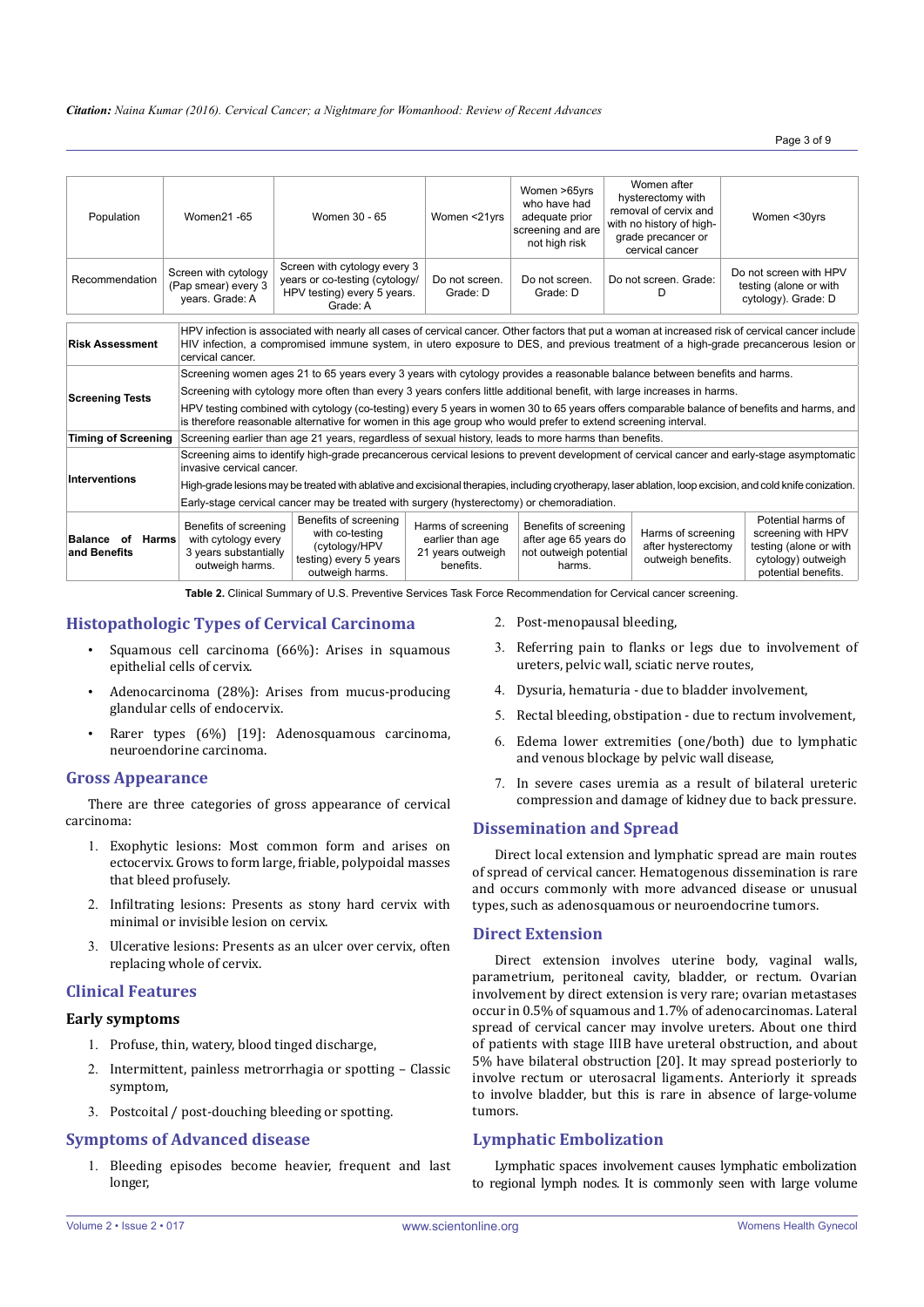| Population                                                                                                                                                                                                                                                                                                                             | Women21-65                                                                                                                                                                                                                                                   | Women 30 - 65                                                                                                             | Women <21yrs                                                             | Women >65yrs<br>who have had<br>adequate prior<br>screening and are<br>not high risk | Women after<br>hysterectomy with<br>removal of cervix and<br>with no history of high-<br>grade precancer or<br>cervical cancer | Women <30yrs                                                                                                    |  |
|----------------------------------------------------------------------------------------------------------------------------------------------------------------------------------------------------------------------------------------------------------------------------------------------------------------------------------------|--------------------------------------------------------------------------------------------------------------------------------------------------------------------------------------------------------------------------------------------------------------|---------------------------------------------------------------------------------------------------------------------------|--------------------------------------------------------------------------|--------------------------------------------------------------------------------------|--------------------------------------------------------------------------------------------------------------------------------|-----------------------------------------------------------------------------------------------------------------|--|
| Recommendation                                                                                                                                                                                                                                                                                                                         | Screen with cytology<br>(Pap smear) every 3<br>years. Grade: A                                                                                                                                                                                               | Screen with cytology every 3<br>years or co-testing (cytology/<br>HPV testing) every 5 years.<br>Grade: A                 | Do not screen.<br>Grade: D                                               | Do not screen.<br>Grade: D                                                           | Do not screen. Grade:<br>D                                                                                                     | Do not screen with HPV<br>testing (alone or with<br>cytology). Grade: D                                         |  |
| HPV infection is associated with nearly all cases of cervical cancer. Other factors that put a woman at increased risk of cervical cancer include<br><b>Risk Assessment</b><br>HIV infection, a compromised immune system, in utero exposure to DES, and previous treatment of a high-grade precancerous lesion or<br>cervical cancer. |                                                                                                                                                                                                                                                              |                                                                                                                           |                                                                          |                                                                                      |                                                                                                                                |                                                                                                                 |  |
|                                                                                                                                                                                                                                                                                                                                        |                                                                                                                                                                                                                                                              | Screening women ages 21 to 65 years every 3 years with cytology provides a reasonable balance between benefits and harms. |                                                                          |                                                                                      |                                                                                                                                |                                                                                                                 |  |
| <b>Screening Tests</b>                                                                                                                                                                                                                                                                                                                 | Screening with cytology more often than every 3 years confers little additional benefit, with large increases in harms.                                                                                                                                      |                                                                                                                           |                                                                          |                                                                                      |                                                                                                                                |                                                                                                                 |  |
|                                                                                                                                                                                                                                                                                                                                        | HPV testing combined with cytology (co-testing) every 5 years in women 30 to 65 years offers comparable balance of benefits and harms, and<br>is therefore reasonable alternative for women in this age group who would prefer to extend screening interval. |                                                                                                                           |                                                                          |                                                                                      |                                                                                                                                |                                                                                                                 |  |
| <b>Timing of Screening</b>                                                                                                                                                                                                                                                                                                             |                                                                                                                                                                                                                                                              | Screening earlier than age 21 years, regardless of sexual history, leads to more harms than benefits.                     |                                                                          |                                                                                      |                                                                                                                                |                                                                                                                 |  |
|                                                                                                                                                                                                                                                                                                                                        | Screening aims to identify high-grade precancerous cervical lesions to prevent development of cervical cancer and early-stage asymptomatic<br>invasive cervical cancer.                                                                                      |                                                                                                                           |                                                                          |                                                                                      |                                                                                                                                |                                                                                                                 |  |
| Interventions                                                                                                                                                                                                                                                                                                                          | High-grade lesions may be treated with ablative and excisional therapies, including cryotherapy, laser ablation, loop excision, and cold knife conization.                                                                                                   |                                                                                                                           |                                                                          |                                                                                      |                                                                                                                                |                                                                                                                 |  |
|                                                                                                                                                                                                                                                                                                                                        | Early-stage cervical cancer may be treated with surgery (hysterectomy) or chemoradiation.                                                                                                                                                                    |                                                                                                                           |                                                                          |                                                                                      |                                                                                                                                |                                                                                                                 |  |
| of<br><b>Harms</b><br><b>Balance</b><br>and Benefits                                                                                                                                                                                                                                                                                   | Benefits of screening<br>with cytology every<br>3 years substantially<br>outweigh harms.                                                                                                                                                                     | Benefits of screening<br>with co-testing<br>(cytology/HPV<br>testing) every 5 years<br>outweigh harms.                    | Harms of screening<br>earlier than age<br>21 years outweigh<br>benefits. | Benefits of screening<br>after age 65 years do<br>not outweigh potential<br>harms.   | Harms of screening<br>after hysterectomy<br>outweigh benefits.                                                                 | Potential harms of<br>screening with HPV<br>testing (alone or with<br>cytology) outweigh<br>potential benefits. |  |

**Table 2.** Clinical Summary of U.S. Preventive Services Task Force Recommendation for Cervical cancer screening.

# **Histopathologic Types of Cervical Carcinoma**

- Squamous cell carcinoma (66%): Arises in squamous epithelial cells of cervix.
- Adenocarcinoma  $(28%)$ : Arises from mucus-producing glandular cells of endocervix.
- Rarer types  $(6%)$  [19]: Adenosquamous carcinoma, neuroendorine carcinoma.

# **Gross Appearance**

There are three categories of gross appearance of cervical carcinoma:

- 1. Exophytic lesions: Most common form and arises on ectocervix. Grows to form large, friable, polypoidal masses that bleed profusely.
- 2. Infiltrating lesions: Presents as stony hard cervix with minimal or invisible lesion on cervix.
- 3. Ulcerative lesions: Presents as an ulcer over cervix, often replacing whole of cervix.

## **Clinical Features**

## **Early symptoms**

- 1. Profuse, thin, watery, blood tinged discharge,
- 2. Intermittent, painless metrorrhagia or spotting Classic symptom,
- 3. Postcoital / post-douching bleeding or spotting.

## **Symptoms of Advanced disease**

1. Bleeding episodes become heavier, frequent and last longer,

- 2. Post-menopausal bleeding,
- 3. Referring pain to flanks or legs due to involvement of ureters, pelvic wall, sciatic nerve routes,
- 4. Dysuria, hematuria due to bladder involvement,
- 5. Rectal bleeding, obstipation due to rectum involvement,
- 6. Edema lower extremities (one/both) due to lymphatic and venous blockage by pelvic wall disease,
- 7. In severe cases uremia as a result of bilateral ureteric compression and damage of kidney due to back pressure.

# **Dissemination and Spread**

Direct local extension and lymphatic spread are main routes of spread of cervical cancer. Hematogenous dissemination is rare and occurs commonly with more advanced disease or unusual types, such as adenosquamous or neuroendocrine tumors.

## **Direct Extension**

Direct extension involves uterine body, vaginal walls, parametrium, peritoneal cavity, bladder, or rectum. Ovarian involvement by direct extension is very rare; ovarian metastases occur in 0.5% of squamous and 1.7% of adenocarcinomas. Lateral spread of cervical cancer may involve ureters. About one third of patients with stage IIIB have ureteral obstruction, and about 5% have bilateral obstruction [20]. It may spread posteriorly to involve rectum or uterosacral ligaments. Anteriorly it spreads to involve bladder, but this is rare in absence of large-volume tumors.

## **Lymphatic Embolization**

Lymphatic spaces involvement causes lymphatic embolization to regional lymph nodes. It is commonly seen with large volume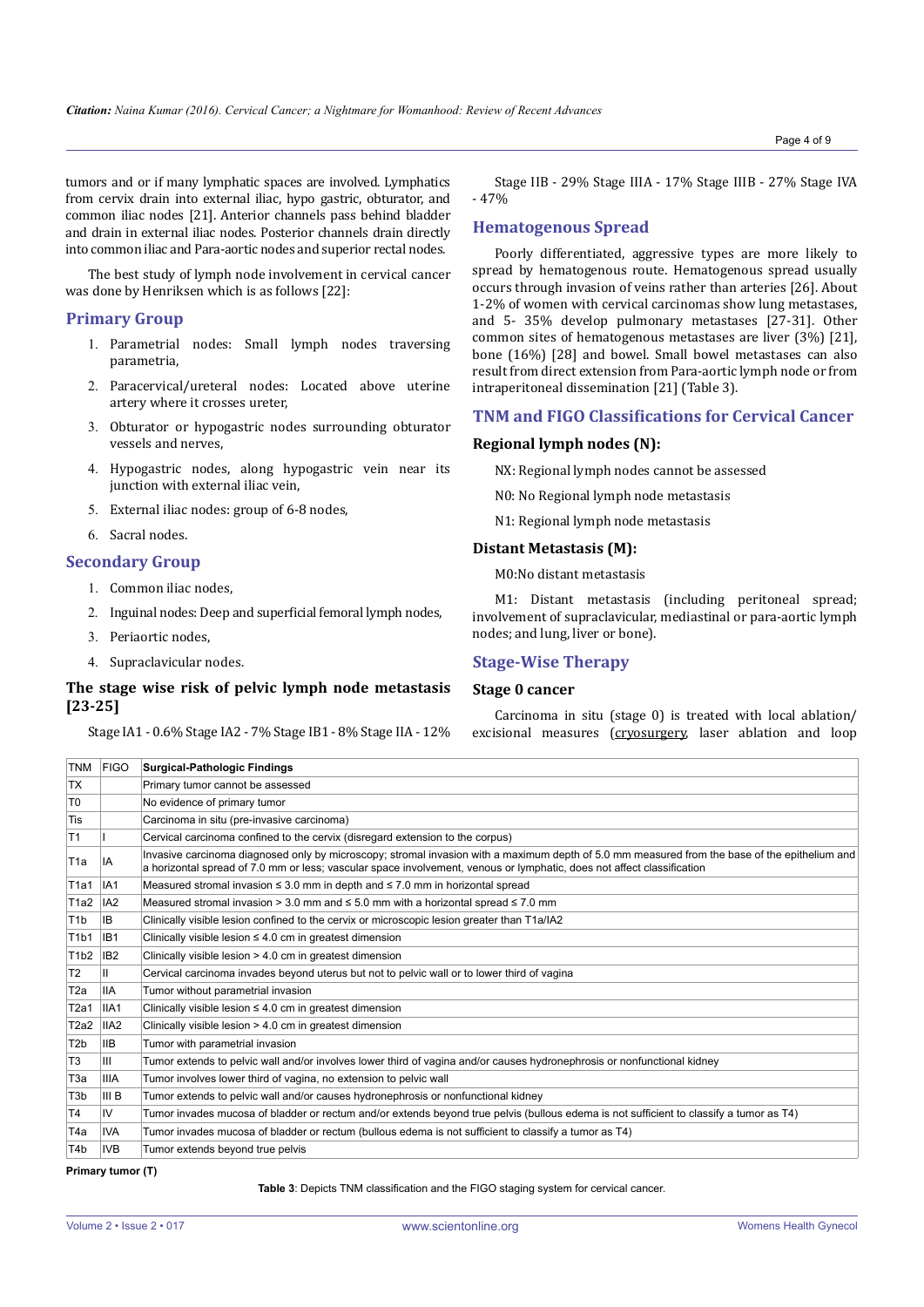tumors and or if many lymphatic spaces are involved. Lymphatics from cervix drain into external iliac, hypo gastric, obturator, and common iliac nodes [21]. Anterior channels pass behind bladder and drain in external iliac nodes. Posterior channels drain directly into common iliac and Para-aortic nodes and superior rectal nodes.

The best study of lymph node involvement in cervical cancer was done by Henriksen which is as follows [22]:

# **Primary Group**

- 1. Parametrial nodes: Small lymph nodes traversing parametria,
- 2. Paracervical/ureteral nodes: Located above uterine artery where it crosses ureter,
- 3. Obturator or hypogastric nodes surrounding obturator vessels and nerves,
- 4. Hypogastric nodes, along hypogastric vein near its junction with external iliac vein,
- 5. External iliac nodes: group of 6-8 nodes,
- 6. Sacral nodes.

## **Secondary Group**

- 1. Common iliac nodes,
- 2. Inguinal nodes: Deep and superficial femoral lymph nodes,
- 3. Periaortic nodes,
- 4. Supraclavicular nodes.

## **The stage wise risk of pelvic lymph node metastasis [23-25]**

Stage IA1 - 0.6% Stage IA2 - 7% Stage IB1 - 8% Stage IIA - 12%

Stage IIB - 29% Stage IIIA - 17% Stage IIIB - 27% Stage IVA - 47%

# **Hematogenous Spread**

Poorly differentiated, aggressive types are more likely to spread by hematogenous route. Hematogenous spread usually occurs through invasion of veins rather than arteries [26]. About 1-2% of women with cervical carcinomas show lung metastases, and 5- 35% develop pulmonary metastases [27-31]. Other common sites of hematogenous metastases are liver (3%) [21], bone (16%) [28] and bowel. Small bowel metastases can also result from direct extension from Para-aortic lymph node or from intraperitoneal dissemination [21] (Table 3).

#### **TNM and FIGO Classifications for Cervical Cancer**

#### **Regional lymph nodes (N):**

NX: Regional lymph nodes cannot be assessed

N0: No Regional lymph node metastasis

N1: Regional lymph node metastasis

#### **Distant Metastasis (M):**

M0:No distant metastasis

M1: Distant metastasis (including peritoneal spread; involvement of supraclavicular, mediastinal or para-aortic lymph nodes; and lung, liver or bone).

## **Stage-Wise Therapy**

## **Stage 0 cancer**

Carcinoma in situ (stage 0) is treated with local ablation/ excisional measures ([cryosurgery](http://emedicine.medscape.com/article/269982-overview), laser ablation and loop

| TNM FIGO         |                  | Surgical-Pathologic Findings                                                                                                                                                                                                                                            |  |  |
|------------------|------------------|-------------------------------------------------------------------------------------------------------------------------------------------------------------------------------------------------------------------------------------------------------------------------|--|--|
| <b>TX</b>        |                  | Primary tumor cannot be assessed                                                                                                                                                                                                                                        |  |  |
| T <sub>0</sub>   |                  | No evidence of primary tumor                                                                                                                                                                                                                                            |  |  |
| Tis              |                  | Carcinoma in situ (pre-invasive carcinoma)                                                                                                                                                                                                                              |  |  |
| T <sub>1</sub>   |                  | Cervical carcinoma confined to the cervix (disregard extension to the corpus)                                                                                                                                                                                           |  |  |
| T1a              | IA               | Invasive carcinoma diagnosed only by microscopy; stromal invasion with a maximum depth of 5.0 mm measured from the base of the epithelium and<br>a horizontal spread of 7.0 mm or less: vascular space involvement, venous or lymphatic, does not affect classification |  |  |
| T1a1             | IA <sub>1</sub>  | Measured stromal invasion $\leq$ 3.0 mm in depth and $\leq$ 7.0 mm in horizontal spread                                                                                                                                                                                 |  |  |
| T1a2             | IA2              | Measured stromal invasion > 3.0 mm and $\leq$ 5.0 mm with a horizontal spread $\leq$ 7.0 mm                                                                                                                                                                             |  |  |
| T <sub>1</sub> b | IB.              | Clinically visible lesion confined to the cervix or microscopic lesion greater than T1a/IA2                                                                                                                                                                             |  |  |
| T1b1             | IB <sub>1</sub>  | Clinically visible lesion $\leq 4.0$ cm in greatest dimension                                                                                                                                                                                                           |  |  |
| T1b2             | IB <sub>2</sub>  | Clinically visible lesion > 4.0 cm in greatest dimension                                                                                                                                                                                                                |  |  |
| T <sub>2</sub>   | Ш.               | Cervical carcinoma invades beyond uterus but not to pelvic wall or to lower third of vagina                                                                                                                                                                             |  |  |
| T2a              | <b>IIA</b>       | Tumor without parametrial invasion                                                                                                                                                                                                                                      |  |  |
| T2a1             | IIA <sub>1</sub> | Clinically visible lesion $\leq 4.0$ cm in greatest dimension                                                                                                                                                                                                           |  |  |
| T2a2             | IIA <sub>2</sub> | Clinically visible lesion > 4.0 cm in greatest dimension                                                                                                                                                                                                                |  |  |
| T <sub>2</sub> b | <b>IIB</b>       | Tumor with parametrial invasion                                                                                                                                                                                                                                         |  |  |
| T <sub>3</sub>   | Ш                | Tumor extends to pelvic wall and/or involves lower third of vagina and/or causes hydronephrosis or nonfunctional kidney                                                                                                                                                 |  |  |
| T3a              | <b>IIIA</b>      | Tumor involves lower third of vagina, no extension to pelvic wall                                                                                                                                                                                                       |  |  |
| T <sub>3</sub> b | III B            | Tumor extends to pelvic wall and/or causes hydronephrosis or nonfunctional kidney                                                                                                                                                                                       |  |  |
| T <sub>4</sub>   | IV               | Tumor invades mucosa of bladder or rectum and/or extends beyond true pelvis (bullous edema is not sufficient to classify a tumor as T4)                                                                                                                                 |  |  |
| T4a              | <b>IVA</b>       | Tumor invades mucosa of bladder or rectum (bullous edema is not sufficient to classify a tumor as T4)                                                                                                                                                                   |  |  |
| T <sub>4</sub> b | <b>IVB</b>       | Tumor extends beyond true pelvis                                                                                                                                                                                                                                        |  |  |

**Primary tumor (T)**

**Table 3**: Depicts TNM classification and the FIGO staging system for cervical cancer.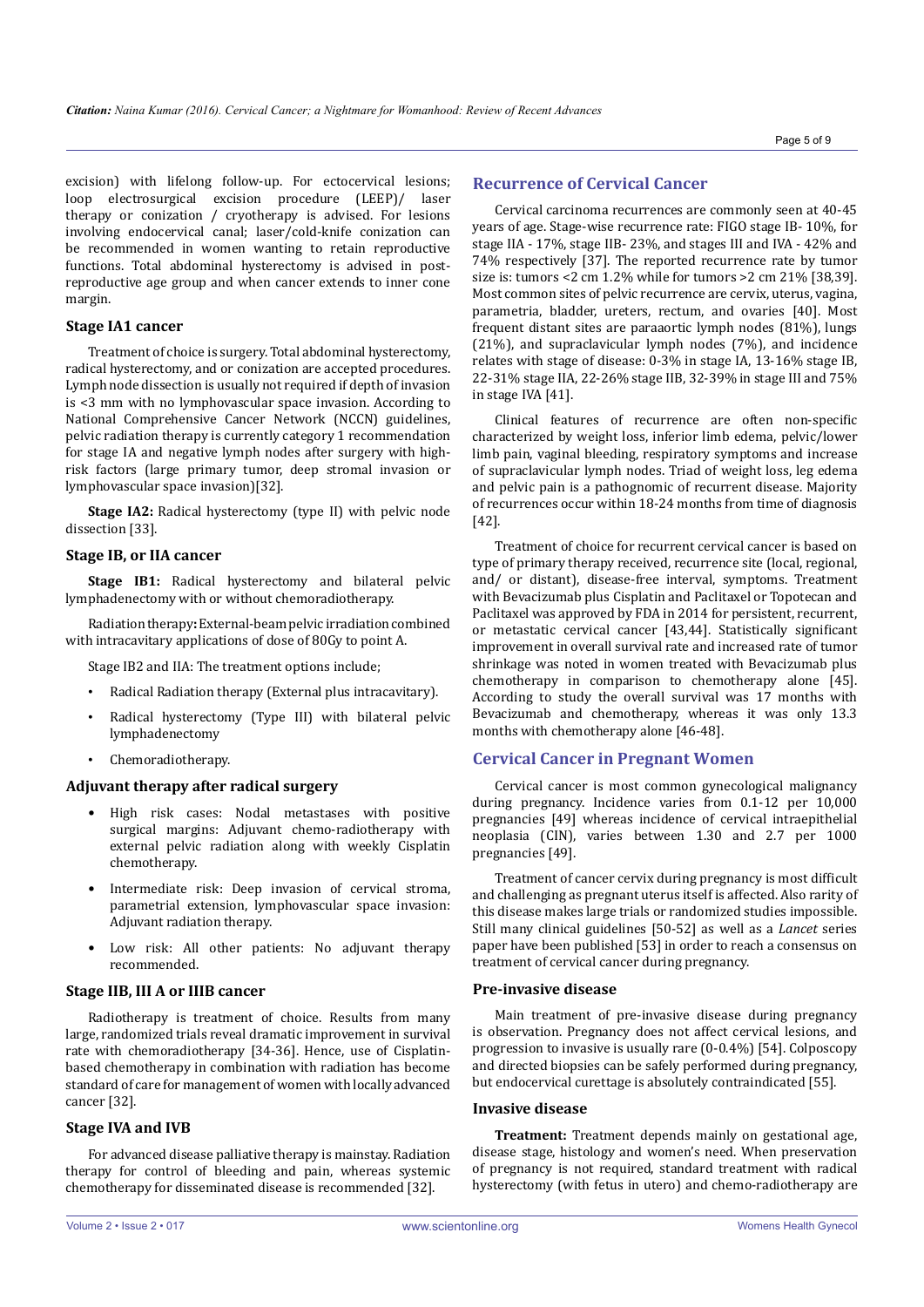excision) with lifelong follow-up. For ectocervical lesions; loop electrosurgical excision procedure (LEEP)/ laser therapy or conization / cryotherapy is advised. For lesions involving endocervical canal; laser/cold-knife conization can be recommended in women wanting to retain reproductive functions. Total abdominal hysterectomy is advised in postreproductive age group and when cancer extends to inner cone margin.

## **Stage IA1 cancer**

Treatment of choice is surgery. Total abdominal hysterectomy, radical hysterectomy, and or conization are accepted procedures. Lymph node dissection is usually not required if depth of invasion is <3 mm with no lymphovascular space invasion. According to National Comprehensive Cancer Network (NCCN) guidelines, pelvic radiation therapy is currently category 1 recommendation for stage IA and negative lymph nodes after surgery with highrisk factors (large primary tumor, deep stromal invasion or lymphovascular space invasion)[32].

**Stage IA2:** Radical hysterectomy (type II) with pelvic node dissection [33].

## **Stage IB, or IIA cancer**

**Stage IB1:** Radical hysterectomy and bilateral pelvic lymphadenectomy with or without chemoradiotherapy.

Radiation therapy**:** External-beam pelvic irradiation combined with intracavitary applications of dose of 80Gy to point A.

Stage IB2 and IIA: The treatment options include;

- Radical Radiation therapy (External plus intracavitary).
- Radical hysterectomy (Type III) with bilateral pelvic lymphadenectomy
- Chemoradiotherapy.

#### **Adjuvant therapy after radical surgery**

- High risk cases: Nodal metastases with positive surgical margins: Adjuvant chemo-radiotherapy with external pelvic radiation along with weekly Cisplatin chemotherapy.
- Intermediate risk: Deep invasion of cervical stroma, parametrial extension, lymphovascular space invasion: Adjuvant radiation therapy.
- Low risk: All other patients: No adjuvant therapy recommended.

## **Stage IIB, III A or IIIB cancer**

Radiotherapy is treatment of choice. Results from many large, randomized trials reveal dramatic improvement in survival rate with chemoradiotherapy [34-36]. Hence, use of Cisplatinbased chemotherapy in combination with radiation has become standard of care for management of women with locally advanced cancer [32].

## **Stage IVA and IVB**

For advanced disease palliative therapy is mainstay. Radiation therapy for control of bleeding and pain, whereas systemic chemotherapy for disseminated disease is recommended [32].

## **Recurrence of Cervical Cancer**

Cervical carcinoma recurrences are commonly seen at 40-45 years of age. Stage-wise recurrence rate: FIGO stage IB- 10%, for stage IIA - 17%, stage IIB- 23%, and stages III and IVA - 42% and 74% respectively [37]. The reported recurrence rate by tumor size is: tumors <2 cm 1.2% while for tumors >2 cm 21% [38,39]. Most common sites of pelvic recurrence are cervix, uterus, vagina, parametria, bladder, ureters, rectum, and ovaries [40]. Most frequent distant sites are paraaortic lymph nodes (81%), lungs (21%), and supraclavicular lymph nodes (7%), and incidence relates with stage of disease: 0-3% in stage IA, 13-16% stage IB, 22-31% stage IIA, 22-26% stage IIB, 32-39% in stage III and 75% in stage IVA [41].

Clinical features of recurrence are often non-specific characterized by weight loss, inferior limb edema, pelvic/lower limb pain, vaginal bleeding, respiratory symptoms and increase of supraclavicular lymph nodes. Triad of weight loss, leg edema and pelvic pain is a pathognomic of recurrent disease. Majority of recurrences occur within 18-24 months from time of diagnosis [42].

Treatment of choice for recurrent cervical cancer is based on type of primary therapy received, recurrence site (local, regional, and/ or distant), disease-free interval, symptoms. Treatment with Bevacizumab plus Cisplatin and Paclitaxel or Topotecan and Paclitaxel was approved by FDA in 2014 for persistent, recurrent, or metastatic cervical cancer [43,44]. Statistically significant improvement in overall survival rate and increased rate of tumor shrinkage was noted in women treated with Bevacizumab plus chemotherapy in comparison to chemotherapy alone [45]. According to study the overall survival was 17 months with Bevacizumab and chemotherapy, whereas it was only 13.3 months with chemotherapy alone [46-48].

## **Cervical Cancer in Pregnant Women**

Cervical cancer is most common gynecological malignancy during pregnancy. Incidence varies from 0.1-12 per 10,000 pregnancies [49] whereas incidence of cervical intraepithelial neoplasia (CIN), varies between 1.30 and 2.7 per 1000 pregnancies [49].

Treatment of cancer cervix during pregnancy is most difficult and challenging as pregnant uterus itself is affected. Also rarity of this disease makes large trials or randomized studies impossible. Still many clinical guidelines [50-52] as well as a *Lancet* series paper have been published [53] in order to reach a consensus on treatment of cervical cancer during pregnancy.

#### **Pre-invasive disease**

Main treatment of pre-invasive disease during pregnancy is observation. Pregnancy does not affect cervical lesions, and progression to invasive is usually rare (0-0.4%) [54]. Colposcopy and directed biopsies can be safely performed during pregnancy, but endocervical curettage is absolutely contraindicated [55].

#### **Invasive disease**

**Treatment:** Treatment depends mainly on gestational age, disease stage, histology and women's need. When preservation of pregnancy is not required, standard treatment with radical hysterectomy (with fetus in utero) and chemo-radiotherapy are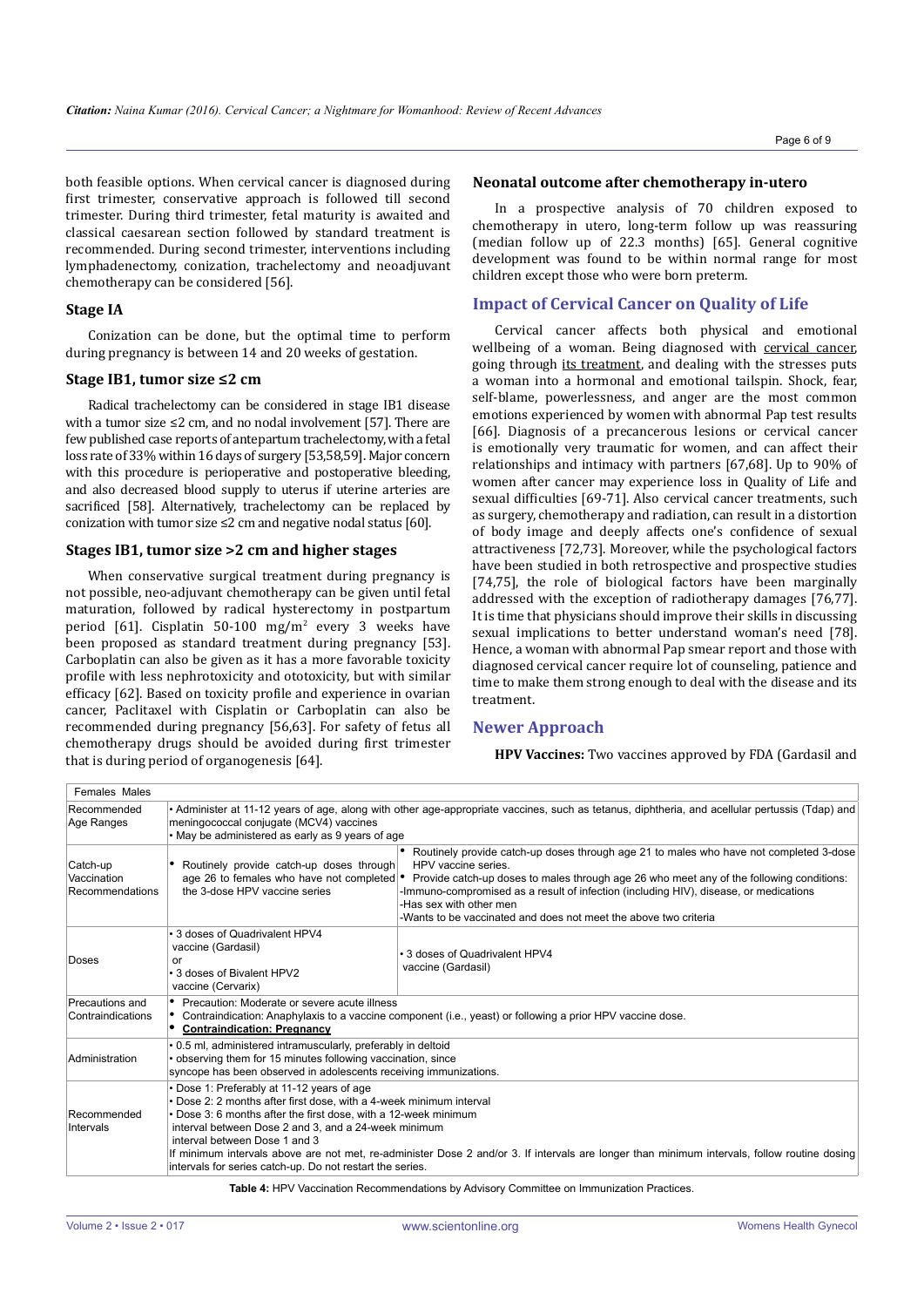both feasible options. When cervical cancer is diagnosed during first trimester, conservative approach is followed till second trimester. During third trimester, fetal maturity is awaited and classical caesarean section followed by standard treatment is recommended. During second trimester, interventions including lymphadenectomy, conization, trachelectomy and neoadjuvant chemotherapy can be considered [56].

## **Stage IA**

Conization can be done, but the optimal time to perform during pregnancy is between 14 and 20 weeks of gestation.

#### **Stage IB1, tumor size ≤2 cm**

Radical trachelectomy can be considered in stage IB1 disease with a tumor size ≤2 cm, and no nodal involvement [57]. There are few published case reports of antepartum trachelectomy, with a fetal loss rate of 33% within 16 days of surgery [53,58,59]. Major concern with this procedure is perioperative and postoperative bleeding, and also decreased blood supply to uterus if uterine arteries are sacrificed [58]. Alternatively, trachelectomy can be replaced by conization with tumor size ≤2 cm and negative nodal status [60].

## **Stages IB1, tumor size >2 cm and higher stages**

When conservative surgical treatment during pregnancy is not possible, neo-adjuvant chemotherapy can be given until fetal maturation, followed by radical hysterectomy in postpartum period [61]. Cisplatin 50-100 mg/m<sup>2</sup> every 3 weeks have been proposed as standard treatment during pregnancy [53]. Carboplatin can also be given as it has a more favorable toxicity profile with less nephrotoxicity and ototoxicity, but with similar efficacy [62]. Based on toxicity profile and experience in ovarian cancer, Paclitaxel with Cisplatin or Carboplatin can also be recommended during pregnancy [56,63]. For safety of fetus all chemotherapy drugs should be avoided during first trimester that is during period of organogenesis [64].

#### **Neonatal outcome after chemotherapy in-utero**

In a prospective analysis of 70 children exposed to chemotherapy in utero, long-term follow up was reassuring (median follow up of 22.3 months) [65]. General cognitive development was found to be within normal range for most children except those who were born preterm.

## **Impact of Cervical Cancer on Quality of Life**

Cervical cancer affects both physical and emotional wellbeing of a woman. Being diagnosed with [cervical cancer,](http://www.everydayhealth.com/cervical-cancer/basics.aspx) going through [its treatment](http://www.everydayhealth.com/cervical-cancer/treatment.aspx), and dealing with the stresses puts a woman into a hormonal and emotional tailspin. Shock, fear, self-blame, powerlessness, and anger are the most common emotions experienced by women with abnormal Pap test results [66]. Diagnosis of a precancerous lesions or cervical cancer is emotionally very traumatic for women, and can affect their relationships and intimacy with partners [67,68]. Up to 90% of women after cancer may experience loss in Quality of Life and sexual difficulties [69-71]. Also cervical cancer treatments, such as surgery, chemotherapy and radiation, can result in a distortion of body image and deeply affects one's confidence of sexual attractiveness [72,73]. Moreover, while the psychological factors have been studied in both retrospective and prospective studies [74,75], the role of biological factors have been marginally addressed with the exception of radiotherapy damages [76,77]. It is time that physicians should improve their skills in discussing sexual implications to better understand woman's need [78]. Hence, a woman with abnormal Pap smear report and those with diagnosed cervical cancer require lot of counseling, patience and time to make them strong enough to deal with the disease and its treatment.

# **Newer Approach**

**HPV Vaccines:** Two vaccines approved by FDA (Gardasil and

| <b>Females Males</b>                       |                                                                                                                                                                                                                                                                                                                                                                                                                                                                                            |                                                                                                                                                                                                                                                                                                                                                                                                   |  |
|--------------------------------------------|--------------------------------------------------------------------------------------------------------------------------------------------------------------------------------------------------------------------------------------------------------------------------------------------------------------------------------------------------------------------------------------------------------------------------------------------------------------------------------------------|---------------------------------------------------------------------------------------------------------------------------------------------------------------------------------------------------------------------------------------------------------------------------------------------------------------------------------------------------------------------------------------------------|--|
| Recommended<br>Age Ranges                  | • Administer at 11-12 years of age, along with other age-appropriate vaccines, such as tetanus, diphtheria, and acellular pertussis (Tdap) and<br>meningococcal conjugate (MCV4) vaccines<br>• May be administered as early as 9 years of age                                                                                                                                                                                                                                              |                                                                                                                                                                                                                                                                                                                                                                                                   |  |
| Catch-up<br>Vaccination<br>Recommendations | Routinely provide catch-up doses through<br>age 26 to females who have not completed .<br>the 3-dose HPV vaccine series                                                                                                                                                                                                                                                                                                                                                                    | Routinely provide catch-up doses through age 21 to males who have not completed 3-dose<br>HPV vaccine series.<br>Provide catch-up doses to males through age 26 who meet any of the following conditions:<br>-Immuno-compromised as a result of infection (including HIV), disease, or medications<br>-Has sex with other men<br>-Wants to be vaccinated and does not meet the above two criteria |  |
| Doses                                      | • 3 doses of Quadrivalent HPV4<br>vaccine (Gardasil)<br>or<br>• 3 doses of Bivalent HPV2<br>vaccine (Cervarix)                                                                                                                                                                                                                                                                                                                                                                             | • 3 doses of Quadrivalent HPV4<br>vaccine (Gardasil)                                                                                                                                                                                                                                                                                                                                              |  |
| Precautions and<br>Contraindications       | • Precaution: Moderate or severe acute illness<br>• Contraindication: Anaphylaxis to a vaccine component (i.e., yeast) or following a prior HPV vaccine dose.<br>• Contraindication: Pregnancy                                                                                                                                                                                                                                                                                             |                                                                                                                                                                                                                                                                                                                                                                                                   |  |
| Administration                             | • 0.5 ml, administered intramuscularly, preferably in deltoid<br>• observing them for 15 minutes following vaccination, since<br>syncope has been observed in adolescents receiving immunizations.                                                                                                                                                                                                                                                                                         |                                                                                                                                                                                                                                                                                                                                                                                                   |  |
| Recommended<br>Intervals                   | • Dose 1: Preferably at 11-12 years of age<br>. Dose 2: 2 months after first dose, with a 4-week minimum interval<br>• Dose 3: 6 months after the first dose, with a 12-week minimum<br>interval between Dose 2 and 3, and a 24-week minimum<br>interval between Dose 1 and 3<br>If minimum intervals above are not met, re-administer Dose 2 and/or 3. If intervals are longer than minimum intervals, follow routine dosing<br>intervals for series catch-up. Do not restart the series. |                                                                                                                                                                                                                                                                                                                                                                                                   |  |

**Table 4:** HPV Vaccination Recommendations by Advisory Committee on Immunization Practices.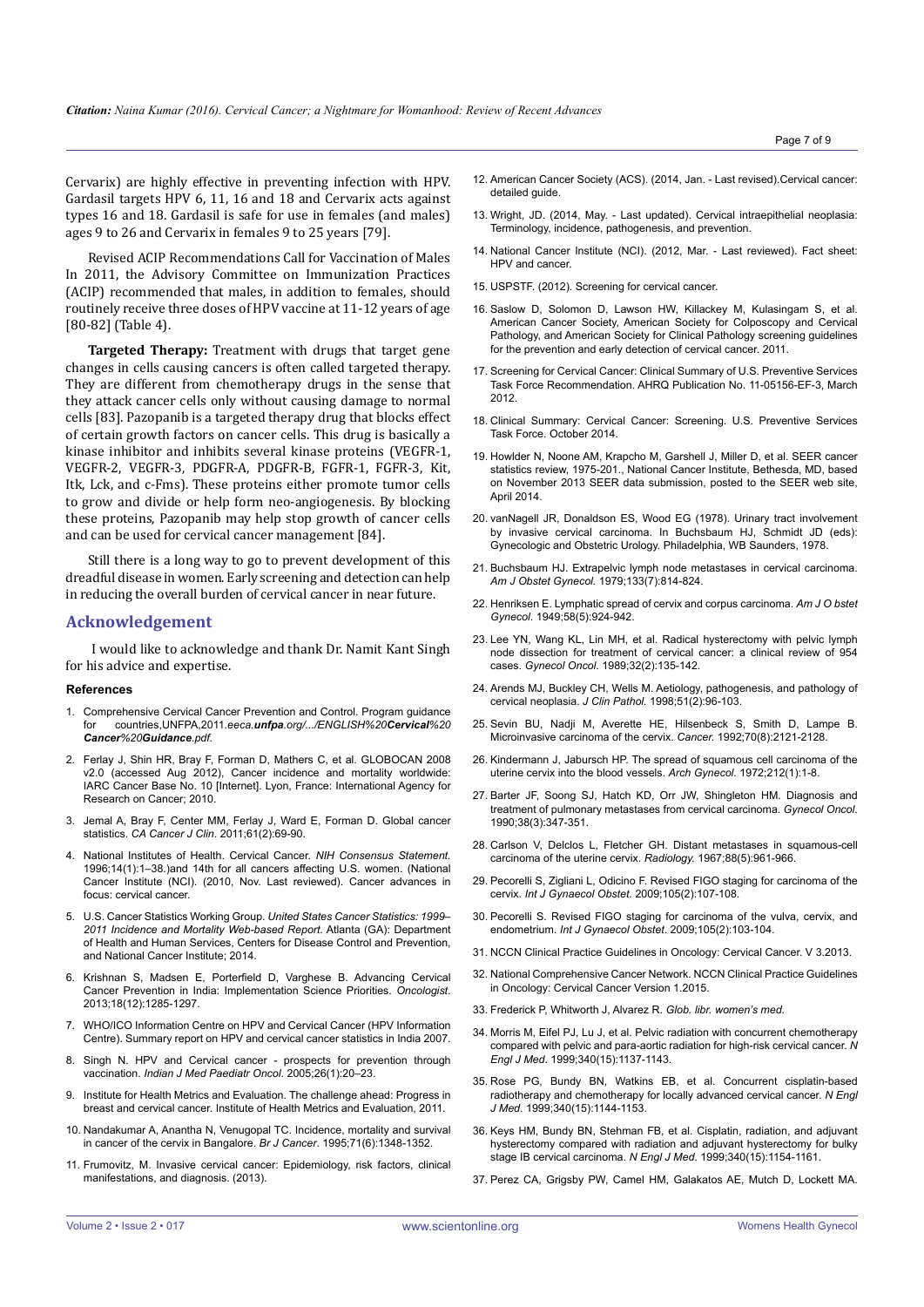Cervarix) are highly effective in preventing infection with HPV. Gardasil targets HPV 6, 11, 16 and 18 and Cervarix acts against types 16 and 18. Gardasil is safe for use in females (and males) ages 9 to 26 and Cervarix in females 9 to 25 years [79].

Revised ACIP Recommendations Call for Vaccination of Males In 2011, the Advisory Committee on Immunization Practices (ACIP) recommended that males, in addition to females, should routinely receive three doses of HPV vaccine at 11-12 years of age [80-82] (Table 4).

**Targeted Therapy:** Treatment with drugs that target gene changes in cells causing cancers is often called targeted therapy. They are different from chemotherapy drugs in the sense that they attack cancer cells only without causing damage to normal cells [83]. Pazopanib is a targeted therapy drug that blocks effect of certain growth factors on cancer cells. This drug is basically a kinase inhibitor and inhibits several kinase proteins (VEGFR-1, VEGFR-2, VEGFR-3, PDGFR-A, PDGFR-B, FGFR-1, FGFR-3, Kit, Itk, Lck, and c-Fms). These proteins either promote tumor cells to grow and divide or help form neo-angiogenesis. By blocking these proteins, Pazopanib may help stop growth of cancer cells and can be used for cervical cancer management [84].

Still there is a long way to go to prevent development of this dreadful disease in women. Early screening and detection can help in reducing the overall burden of cervical cancer in near future.

#### **Acknowledgement**

I would like to acknowledge and thank Dr. Namit Kant Singh for his advice and expertise.

#### **References**

- 1. Comprehensive Cervical Cancer Prevention and Control. Program guidance for countries,UNFPA,2011.*eeca.unfpa.org/.../ENGLISH%20Cervical%20 Cancer%20Guidance.pdf.*
- 2. [Ferlay J, Shin HR, Bray F, Forman D, Mathers C, et al. GLOBOCAN 2008](http://globocan.iarc.fr/factsheets/cancers/all.asp; accessed 6 March 2012.)  v2.0 (accessed Aug 2012), Cancer incidence and mortality worldwide: [IARC Cancer Base No. 10 \[Internet\]. Lyon, France: International Agency for](http://globocan.iarc.fr/factsheets/cancers/all.asp; accessed 6 March 2012.)  [Research on Cancer; 2010.](http://globocan.iarc.fr/factsheets/cancers/all.asp; accessed 6 March 2012.)
- 3. [Jemal A, Bray F, Center MM, Ferlay J, Ward E, Forman D. Global cancer](http://www.ncbi.nlm.nih.gov/pubmed/21296855)  statistics. *CA Cancer J Clin*[. 2011;61\(2\):69-90.](http://www.ncbi.nlm.nih.gov/pubmed/21296855)
- 4. [National Institutes of Health. Cervical Cancer.](http://www.cancer.gov/cancertopics/factsheet/cancer-advances-in-focus/cervicalhttp:/www.cancer.gov/cancertopics/factsheet/cancer-advances-in-focus/cervical) *NIH Consensus Statement.* [1996;14\(1\):1–38.\)and 14th for all cancers affecting U.S. women. \(National](http://www.cancer.gov/cancertopics/factsheet/cancer-advances-in-focus/cervicalhttp:/www.cancer.gov/cancertopics/factsheet/cancer-advances-in-focus/cervical)  [Cancer Institute \(NCI\). \(2010, Nov. Last reviewed\). Cancer advances in](http://www.cancer.gov/cancertopics/factsheet/cancer-advances-in-focus/cervicalhttp:/www.cancer.gov/cancertopics/factsheet/cancer-advances-in-focus/cervical)  [focus: cervical cancer.](http://www.cancer.gov/cancertopics/factsheet/cancer-advances-in-focus/cervicalhttp:/www.cancer.gov/cancertopics/factsheet/cancer-advances-in-focus/cervical)
- 5. U.S. Cancer Statistics Working Group. *[United States Cancer Statistics: 1999–](http://apps.nccd.cdc.gov/uscs/) [2011 Incidence and Mortality Web-based Report.](http://apps.nccd.cdc.gov/uscs/)* Atlanta (GA): Department of Health and Human Services, Centers for Disease Control and Prevention, and National Cancer Institute; 2014.
- 6. [Krishnan S, Madsen E, Porterfield D, Varghese B. Advancing Cervical](http://www.ncbi.nlm.nih.gov/pubmed/24217555)  [Cancer Prevention in India: Implementation Science Priorities.](http://www.ncbi.nlm.nih.gov/pubmed/24217555) *Oncologist*. [2013;18\(12\):1285-1297.](http://www.ncbi.nlm.nih.gov/pubmed/24217555)
- 7. [WHO/ICO Information Centre on HPV and Cervical Cancer \(HPV Information](http://www.who.int/hpvcentre)  [Centre\). Summary report on HPV and cervical cancer statistics in India 2007.](http://www.who.int/hpvcentre)
- 8. [Singh N. HPV and Cervical cancer prospects for prevention through](http://medind.nic.in/ias/t05/i1/iast05i1p20.pdf)  vaccination. *[Indian J Med Paediatr Oncol](http://medind.nic.in/ias/t05/i1/iast05i1p20.pdf)*. 2005;26(1):20–23.
- 9. Institute for Health Metrics and Evaluation. The challenge ahead: Progress in breast and cervical cancer. Institute of Health Metrics and Evaluation, 2011.
- 10. [Nandakumar A, Anantha N, Venugopal TC. Incidence, mortality and survival](http://www.ncbi.nlm.nih.gov/pubmed/7779737)  [in cancer of the cervix in Bangalore.](http://www.ncbi.nlm.nih.gov/pubmed/7779737) *Br J Cancer*. 1995;71(6):1348-1352.
- 11. [Frumovitz, M. Invasive cervical cancer: Epidemiology, risk factors, clinical](http://www.uptodate.com/contents/invasive-cervical-cancer-epidemiology-risk-factors-clinical-manifestations-and-diagnosis)  [manifestations, and diagnosis. \(2013\).](http://www.uptodate.com/contents/invasive-cervical-cancer-epidemiology-risk-factors-clinical-manifestations-and-diagnosis)
- 12. [American Cancer Society \(ACS\). \(2014, Jan. Last revised\).Cervical cancer:](http://www.cancer.org/cancer/cervicalcancer/detailedguide)  [detailed guide.](http://www.cancer.org/cancer/cervicalcancer/detailedguide)
- 13. [Wright, JD. \(2014, May. Last updated\). Cervical intraepithelial neoplasia:](http://www.uptodate.com/contents/cervical-intraepithelial-neoplasia-terminology-incidence-pathogenesis-and-prevention)  [Terminology, incidence, pathogenesis, and prevention.](http://www.uptodate.com/contents/cervical-intraepithelial-neoplasia-terminology-incidence-pathogenesis-and-prevention)
- 14. [National Cancer Institute \(NCI\). \(2012, Mar. Last reviewed\). Fact sheet:](http://www.cancer.gov/cancertopics/factsheet/Risk/HPV.)  [HPV and cancer.](http://www.cancer.gov/cancertopics/factsheet/Risk/HPV.)
- 15. [USPSTF. \(2012\). Screening for cervical cancer.](http://www.uspreventiveservicestaskforce.org/uspstf11/cervcancer/cervcancerrs.htm)
- 16. Saslow D, Solomon D, [Lawson](http://www.ncbi.nlm.nih.gov/pubmed/?term=Lawson HW%5Bauth%5D) HW, [Killackey](http://www.ncbi.nlm.nih.gov/pubmed/?term=Killackey M%5Bauth%5D) M, [Kulasingam](http://www.ncbi.nlm.nih.gov/pubmed/?term=Kulasingam S%5Bauth%5D) S, et al. American Cancer Society, American Society for Colposcopy and Cervical Pathology, and American Society for Clinical Pathology screening guidelines for the prevention and early detection of cervical cancer. 2011.
- 17. [Screening for Cervical Cancer: Clinical Summary of U.S. Preventive Services](http://www.uspreventiveservicestaskforce.org/uspstf11/cervcancer/cervcancersum.htm)  [Task Force Recommendation. AHRQ Publication No. 11-05156-EF-3, March](http://www.uspreventiveservicestaskforce.org/uspstf11/cervcancer/cervcancersum.htm)  [2012.](http://www.uspreventiveservicestaskforce.org/uspstf11/cervcancer/cervcancersum.htm)
- 18. [Clinical Summary: Cervical Cancer: Screening. U.S. Preventive Services](http://www.uspreventiveservicestaskforce.org/Page/Document/ClinicalSummaryFinal/cervical-cancer-screening.)  [Task Force. October 2014.](http://www.uspreventiveservicestaskforce.org/Page/Document/ClinicalSummaryFinal/cervical-cancer-screening.)
- 19. [Howlder N, Noone AM, Krapcho M, Garshell J, Miller D, et al. SEER cancer](http://seer.cancer.gov/csr/1975_2011.html.)  [statistics review, 1975-201., National Cancer Institute, Bethesda, MD, based](http://seer.cancer.gov/csr/1975_2011.html.)  [on November 2013 SEER data submission, posted to the SEER web site,](http://seer.cancer.gov/csr/1975_2011.html.)  [April 2014.](http://seer.cancer.gov/csr/1975_2011.html.)
- 20. vanNagell JR, Donaldson ES, Wood EG (1978). Urinary tract involvement by invasive cervical carcinoma. In Buchsbaum HJ, Schmidt JD (eds): Gynecologic and Obstetric Urology. Philadelphia, WB Saunders, 1978.
- 21. [Buchsbaum HJ. Extrapelvic lymph node metastases in cervical carcinoma.](http://www.ncbi.nlm.nih.gov/pubmed/434023)  *[Am J Obstet Gynecol.](http://www.ncbi.nlm.nih.gov/pubmed/434023)* 1979;133(7):814-824.
- 22. [Henriksen E. Lymphatic spread of cervix and corpus carcinoma.](http://www.ajog.org/article/0002-9378(49)90200-8/abstract) *Am J O bstet Gynecol*[. 1949;58\(5\):924-942.](http://www.ajog.org/article/0002-9378(49)90200-8/abstract)
- 23. [Lee YN, Wang KL, Lin MH, et al. Radical hysterectomy with pelvic lymph](http://www.ncbi.nlm.nih.gov/pubmed/2910773)  [node dissection for treatment of cervical cancer: a clinical review of 954](http://www.ncbi.nlm.nih.gov/pubmed/2910773)  cases. *Gynecol Oncol*[. 1989;32\(2\):135-142.](http://www.ncbi.nlm.nih.gov/pubmed/2910773)
- 24. [Arends MJ, Buckley CH, Wells M. Aetiology, pathogenesis, and pathology of](http://www.ncbi.nlm.nih.gov/pmc/articles/PMC500501/)  [cervical neoplasia.](http://www.ncbi.nlm.nih.gov/pmc/articles/PMC500501/) *J Clin Pathol.* 1998;51(2):96-103.
- 25. [Sevin BU, Nadji M, Averette HE, Hilsenbeck S, Smith D, Lampe B.](http://www.ncbi.nlm.nih.gov/pubmed/1394041)  [Microinvasive carcinoma of the cervix.](http://www.ncbi.nlm.nih.gov/pubmed/1394041) *Cancer.* 1992;70(8):2121-2128.
- 26. Kindermann J. Jabursch HP. The spread of squamous cell carcinoma of the [uterine cervix into the blood vessels.](http://www.ncbi.nlm.nih.gov/pubmed/5068045) *Arch Gynecol.* 1972;212(1):1-8.
- 27. [Barter JF, Soong SJ, Hatch KD, Orr JW, Shingleton HM. Diagnosis and](http://www.ncbi.nlm.nih.gov/pubmed/2227546)  [treatment of pulmonary metastases from cervical carcinoma.](http://www.ncbi.nlm.nih.gov/pubmed/2227546) *Gynecol Oncol*. [1990;38\(3\):347-351.](http://www.ncbi.nlm.nih.gov/pubmed/2227546)
- 28. [Carlson V, Delclos L, Fletcher GH. Distant metastases in squamous-cell](http://www.ncbi.nlm.nih.gov/pubmed/6025051)  [carcinoma of the uterine cervix.](http://www.ncbi.nlm.nih.gov/pubmed/6025051) *Radiology.* 1967;88(5):961-966.
- 29. [Pecorelli S, Zigliani L, Odicino F. Revised FIGO staging for carcinoma of the](http://www.ncbi.nlm.nih.gov/pubmed/19342051)  cervix. *[Int J Gynaecol Obstet.](http://www.ncbi.nlm.nih.gov/pubmed/19342051)* 2009;105(2):107-108.
- 30. [Pecorelli S. Revised FIGO staging for carcinoma of the vulva, cervix, and](http://www.ncbi.nlm.nih.gov/pubmed/19367689)  endometrium. *Int J Gynaecol Obstet*[. 2009;105\(2\):103-104.](http://www.ncbi.nlm.nih.gov/pubmed/19367689)
- 31. [NCCN Clinical Practice Guidelines in Oncology: Cervical Cancer. V 3.2013.](http://www.nccn.org/professionals/physician_gls/pdf/cervical.pdf)
- 32. National Comprehensive Cancer Network. NCCN Clinical Practice Guidelines in Oncology: Cervical Cancer Version 1.2015.
- 33. [Frederick P, Whitworth J, Alvarez R.](http://www.nccn.org/professionals/physician_gls/PDF/cervical.pdf.) *Glob. libr. women's med*.
- 34. [Morris M, Eifel PJ, Lu J, et al. Pelvic radiation with concurrent chemotherapy](http://www.ncbi.nlm.nih.gov/pubmed/10202164)  [compared with pelvic and para-aortic radiation for high-risk cervical cancer.](http://www.ncbi.nlm.nih.gov/pubmed/10202164) *N Engl J Med*[. 1999;340\(15\):1137-1143.](http://www.ncbi.nlm.nih.gov/pubmed/10202164)
- 35. [Rose PG, Bundy BN, Watkins EB, et al. Concurrent cisplatin-based](http://www.ncbi.nlm.nih.gov/pubmed/10202165)  [radiotherapy and chemotherapy for locally advanced cervical cancer.](http://www.ncbi.nlm.nih.gov/pubmed/10202165) *N Engl J Med*[. 1999;340\(15\):1144-1153.](http://www.ncbi.nlm.nih.gov/pubmed/10202165)
- 36. [Keys HM, Bundy BN, Stehman FB, et al. Cisplatin, radiation, and adjuvant](http://www.ncbi.nlm.nih.gov/pubmed/10202166)  [hysterectomy compared with radiation and adjuvant hysterectomy for bulky](http://www.ncbi.nlm.nih.gov/pubmed/10202166)  [stage IB cervical carcinoma.](http://www.ncbi.nlm.nih.gov/pubmed/10202166) *N Engl J Med*. 1999;340(15):1154-1161.
- 37. [Perez CA, Grigsby PW, Camel HM, Galakatos AE, Mutch D, Lockett MA.](http://www.ncbi.nlm.nih.gov/pubmed/7860381)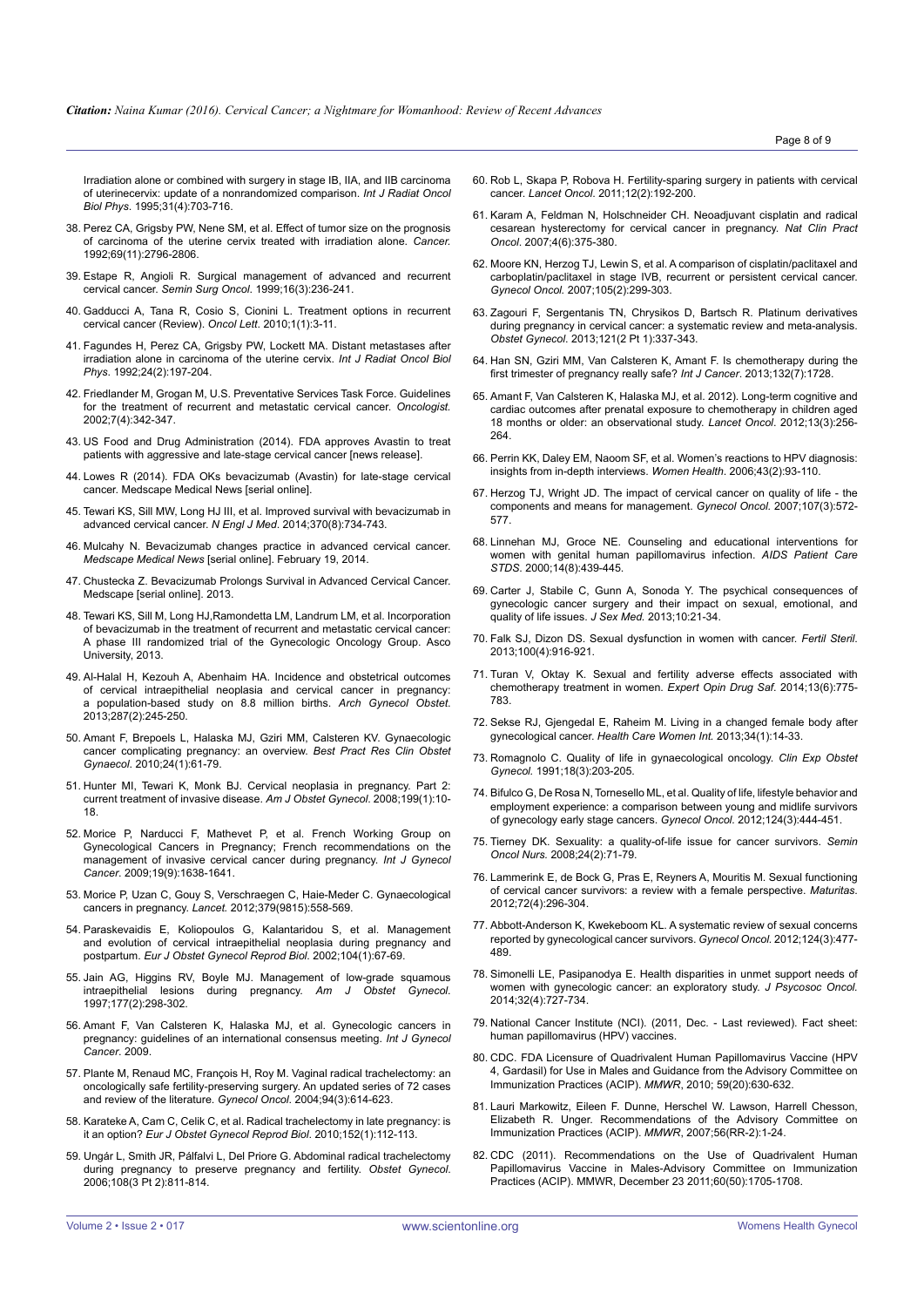[Irradiation alone or combined with surgery in stage IB, IIA, and IIB carcinoma](http://www.ncbi.nlm.nih.gov/pubmed/7860381)  [of uterinecervix: update of a nonrandomized comparison.](http://www.ncbi.nlm.nih.gov/pubmed/7860381) *Int J Radiat Oncol Biol Phys*[. 1995;31\(4\):703-716.](http://www.ncbi.nlm.nih.gov/pubmed/7860381)

- 38. [Perez CA, Grigsby PW, Nene SM, et al. Effect of tumor size on the prognosis](http://www.ncbi.nlm.nih.gov/pubmed/1571911)  [of carcinoma of the uterine cervix treated with irradiation alone.](http://www.ncbi.nlm.nih.gov/pubmed/1571911) *Cancer.*  [1992;69\(11\):2796-2806.](http://www.ncbi.nlm.nih.gov/pubmed/1571911)
- 39. [Estape R, Angioli R. Surgical management of advanced and recurrent](http://www.ncbi.nlm.nih.gov/pubmed/10225302)  cervical cancer. *Semin Surg Oncol*[. 1999;16\(3\):236-241.](http://www.ncbi.nlm.nih.gov/pubmed/10225302)
- 40. [Gadducci A, Tana R, Cosio S, Cionini L. Treatment options in recurrent](http://www.ncbi.nlm.nih.gov/pmc/articles/PMC3436344/)  [cervical cancer \(Review\).](http://www.ncbi.nlm.nih.gov/pmc/articles/PMC3436344/) *Oncol Lett*. 2010;1(1):3-11.
- 41. [Fagundes H, Perez CA, Grigsby PW, Lockett MA. Distant metastases after](http://www.ncbi.nlm.nih.gov/pubmed/1526855)  [irradiation alone in carcinoma of the uterine cervix.](http://www.ncbi.nlm.nih.gov/pubmed/1526855) *Int J Radiat Oncol Biol Phys*[. 1992;24\(2\):197-204.](http://www.ncbi.nlm.nih.gov/pubmed/1526855)
- 42. [Friedlander M, Grogan M, U.S. Preventative Services Task Force. Guidelines](http://www.ncbi.nlm.nih.gov/pubmed/12185296)  [for the treatment of recurrent and metastatic cervical cancer.](http://www.ncbi.nlm.nih.gov/pubmed/12185296) *Oncologist.*  [2002;7\(4\):342-347.](http://www.ncbi.nlm.nih.gov/pubmed/12185296)
- 43. [US Food and Drug Administration \(2014\). FDA approves Avastin to treat](http://www.fda.gov/NewsEvents/Newsroom/PressAnnouncements/ucm410121.htm)  [patients with aggressive and late-stage cervical cancer \[news release\].](http://www.fda.gov/NewsEvents/Newsroom/PressAnnouncements/ucm410121.htm)
- 44. [Lowes R \(2014\). FDA OKs bevacizumab \(Avastin\) for late-stage cervical](http://www.medscape.com/viewarticle/829985.)  [cancer. Medscape Medical News \[serial online\].](http://www.medscape.com/viewarticle/829985.)
- 45. [Tewari KS, Sill MW, Long HJ III, et al. Improved survival with bevacizumab in](http://www.nejm.org/doi/full/10.1056/NEJMoa1309748)  [advanced cervical cancer.](http://www.nejm.org/doi/full/10.1056/NEJMoa1309748) *N Engl J Med*. 2014;370(8):734-743.
- 46. [Mulcahy N. Bevacizumab changes practice in advanced cervical cancer.](http://www.medscape.com/viewarticle/820815)  *Medscape Medical News* [\[serial online\]. February 19, 2014.](http://www.medscape.com/viewarticle/820815)
- 47. [Chustecka Z. Bevacizumab Prolongs Survival in Advanced Cervical Cancer.](http://www.medscape.com/viewarticle/805172.)  [Medscape \[serial online\]. 2013.](http://www.medscape.com/viewarticle/805172.)
- 48. [Tewari KS, Sill M, Long HJ,Ramondetta LM, Landrum LM, et al. Incorporation](http://meetinglibrary.asco.org/content/116712-132)  [of bevacizumab in the treatment of recurrent and metastatic cervical cancer:](http://meetinglibrary.asco.org/content/116712-132)  [A phase III randomized trial of the Gynecologic Oncology Group. Asco](http://meetinglibrary.asco.org/content/116712-132)  [University, 2013.](http://meetinglibrary.asco.org/content/116712-132)
- 49. [Al-Halal H, Kezouh A, Abenhaim HA. Incidence and obstetrical outcomes](http://www.ncbi.nlm.nih.gov/pubmed/23053308)  [of cervical intraepithelial neoplasia and cervical cancer in pregnancy:](http://www.ncbi.nlm.nih.gov/pubmed/23053308)  [a population-based study on 8.8 million births.](http://www.ncbi.nlm.nih.gov/pubmed/23053308) *Arch Gynecol Obstet*. [2013;287\(2\):245-250.](http://www.ncbi.nlm.nih.gov/pubmed/23053308)
- 50. [Amant F, Brepoels L, Halaska MJ, Gziri MM, Calsteren KV. Gynaecologic](http://www.ncbi.nlm.nih.gov/pubmed/19740709)  [cancer complicating pregnancy: an overview.](http://www.ncbi.nlm.nih.gov/pubmed/19740709) *Best Pract Res Clin Obstet Gynaecol*[. 2010;24\(1\):61-79.](http://www.ncbi.nlm.nih.gov/pubmed/19740709)
- 51. [Hunter MI, Tewari K, Monk BJ. Cervical neoplasia in pregnancy. Part 2:](http://www.ncbi.nlm.nih.gov/pubmed/18585521)  [current treatment of invasive disease.](http://www.ncbi.nlm.nih.gov/pubmed/18585521) *Am J Obstet Gynecol*. 2008;199(1):10- [18.](http://www.ncbi.nlm.nih.gov/pubmed/18585521)
- 52. [Morice P, Narducci F, Mathevet P, et al. French Working Group on](http://www.ncbi.nlm.nih.gov/pubmed/19955951)  [Gynecological Cancers in Pregnancy; French recommendations on the](http://www.ncbi.nlm.nih.gov/pubmed/19955951)  [management of invasive cervical cancer during pregnancy.](http://www.ncbi.nlm.nih.gov/pubmed/19955951) *Int J Gynecol Cancer*[. 2009;19\(9\):1638-1641.](http://www.ncbi.nlm.nih.gov/pubmed/19955951)
- 53. [Morice P, Uzan C, Gouy S, Verschraegen C, Haie-Meder C. Gynaecological](http://www.ncbi.nlm.nih.gov/pubmed/22325661)  cancers in pregnancy. *Lancet.* [2012;379\(9815\):558-569.](http://www.ncbi.nlm.nih.gov/pubmed/22325661)
- 54. [Paraskevaidis E, Koliopoulos G, Kalantaridou S, et al. Management](http://www.ncbi.nlm.nih.gov/pubmed/12128266)  [and evolution of cervical intraepithelial neoplasia during pregnancy and](http://www.ncbi.nlm.nih.gov/pubmed/12128266)  postpartum. *[Eur J Obstet Gynecol Reprod Biol](http://www.ncbi.nlm.nih.gov/pubmed/12128266)*. 2002;104(1):67-69.
- 55. [Jain AG, Higgins RV, Boyle MJ. Management of low-grade squamous](http://www.ncbi.nlm.nih.gov/pubmed/9290443)  [intraepithelial lesions during pregnancy.](http://www.ncbi.nlm.nih.gov/pubmed/9290443) *Am J Obstet Gynecol*. [1997;177\(2\):298-302.](http://www.ncbi.nlm.nih.gov/pubmed/9290443)
- 56. [Amant F, Van Calsteren K, Halaska MJ, et al. Gynecologic cancers in](http://www.ncbi.nlm.nih.gov/pubmed/19509538)  [pregnancy: guidelines of an international consensus meeting.](http://www.ncbi.nlm.nih.gov/pubmed/19509538) *Int J Gynecol [Cancer](http://www.ncbi.nlm.nih.gov/pubmed/19509538)*. 2009.
- 57. [Plante M, Renaud MC, François H, Roy M. Vaginal radical trachelectomy: an](http://www.ncbi.nlm.nih.gov/pubmed/15350349)  [oncologically safe fertility-preserving surgery. An updated series of 72 cases](http://www.ncbi.nlm.nih.gov/pubmed/15350349)  [and review of the literature.](http://www.ncbi.nlm.nih.gov/pubmed/15350349) *Gynecol Oncol*. 2004;94(3):614-623.
- 58. [Karateke A, Cam C, Celik C, et al. Radical trachelectomy in late pregnancy: is](http://www.ncbi.nlm.nih.gov/pubmed/20561740)  it an option? *[Eur J Obstet Gynecol Reprod Biol](http://www.ncbi.nlm.nih.gov/pubmed/20561740)*. 2010;152(1):112-113.
- 59. [Ungár L, Smith JR, Pálfalvi L, Del Priore G. Abdominal radical trachelectomy](http://www.ncbi.nlm.nih.gov/pubmed/17018513)  [during pregnancy to preserve pregnancy and fertility.](http://www.ncbi.nlm.nih.gov/pubmed/17018513) *Obstet Gynecol*. [2006;108\(3 Pt 2\):811-814.](http://www.ncbi.nlm.nih.gov/pubmed/17018513)
- 60. [Rob L, Skapa P, Robova H. Fertility-sparing surgery in patients with cervical](http://www.ncbi.nlm.nih.gov/pubmed/20619737)  cancer. *Lancet Oncol*[. 2011;12\(2\):192-200.](http://www.ncbi.nlm.nih.gov/pubmed/20619737)
- 61. [Karam A, Feldman N, Holschneider CH. Neoadjuvant cisplatin and radical](http://www.ncbi.nlm.nih.gov/pubmed/17534393)  [cesarean hysterectomy for cervical cancer in pregnancy.](http://www.ncbi.nlm.nih.gov/pubmed/17534393) *Nat Clin Pract Oncol*[. 2007;4\(6\):375-380.](http://www.ncbi.nlm.nih.gov/pubmed/17534393)
- 62. [Moore KN, Herzog TJ, Lewin S, et al. A comparison of cisplatin/paclitaxel and](http://www.ncbi.nlm.nih.gov/pubmed/17303230)  [carboplatin/paclitaxel in stage IVB, recurrent or persistent cervical cancer.](http://www.ncbi.nlm.nih.gov/pubmed/17303230)  *Gynecol Oncol.* [2007;105\(2\):299-303.](http://www.ncbi.nlm.nih.gov/pubmed/17303230)
- 63. Zagouri F, Sergentanis TN, Chrysikos D, Bartsch R. Platinum derivatives during pregnancy in cervical cancer: a systematic review and meta-analysis. *Obstet Gynecol*. 2013;121(2 Pt 1):337-343.
- 64. [Han SN, Gziri MM, Van Calsteren K, Amant F. Is chemotherapy during the](http://www.ncbi.nlm.nih.gov/pubmed/22945483)  [first trimester of pregnancy really safe?](http://www.ncbi.nlm.nih.gov/pubmed/22945483) *Int J Cancer*. 2013;132(7):1728.
- 65. [Amant F, Van Calsteren K, Halaska MJ, et al. 2012\). Long-term cognitive and](http://www.thelancet.com/journals/lanonc/article/PIIS1470-2045(11)70363-1/abstract)  [cardiac outcomes after prenatal exposure to chemotherapy in children aged](http://www.thelancet.com/journals/lanonc/article/PIIS1470-2045(11)70363-1/abstract)  [18 months or older: an observational study.](http://www.thelancet.com/journals/lanonc/article/PIIS1470-2045(11)70363-1/abstract) *Lancet Oncol*. 2012;13(3):256- [264.](http://www.thelancet.com/journals/lanonc/article/PIIS1470-2045(11)70363-1/abstract)
- 66. [Perrin KK, Daley EM, Naoom SF, et al. Women's reactions to HPV diagnosis:](http://www.ncbi.nlm.nih.gov/pubmed/17000613)  [insights from in-depth interviews.](http://www.ncbi.nlm.nih.gov/pubmed/17000613) *Women Health*. 2006;43(2):93-110.
- 67. [Herzog TJ, Wright JD. The impact of cervical cancer on quality of life the](http://www.ncbi.nlm.nih.gov/pubmed/17963826)  [components and means for management.](http://www.ncbi.nlm.nih.gov/pubmed/17963826) *Gynecol Oncol.* 2007;107(3):572- [577.](http://www.ncbi.nlm.nih.gov/pubmed/17963826)
- 68. [Linnehan MJ, Groce NE. Counseling and educational interventions for](http://www.ncbi.nlm.nih.gov/pubmed/10977973)  [women with genital human papillomavirus infection.](http://www.ncbi.nlm.nih.gov/pubmed/10977973) *AIDS Patient Care STDS*[. 2000;14\(8\):439-445.](http://www.ncbi.nlm.nih.gov/pubmed/10977973)
- 69. [Carter J, Stabile C, Gunn A, Sonoda Y. The psychical consequences of](http://www.ncbi.nlm.nih.gov/pubmed/23387909)  [gynecologic cancer surgery and their impact on sexual, emotional, and](http://www.ncbi.nlm.nih.gov/pubmed/23387909)  [quality of life issues.](http://www.ncbi.nlm.nih.gov/pubmed/23387909) *J Sex Med.* 2013;10:21-34.
- 70. [Falk SJ, Dizon DS. Sexual dysfunction in women with cancer.](http://www.ncbi.nlm.nih.gov/pubmed/24011609) *Fertil Steril*. [2013;100\(4\):916-921.](http://www.ncbi.nlm.nih.gov/pubmed/24011609)
- 71. [Turan V, Oktay K. Sexual and fertility adverse effects associated with](http://www.ncbi.nlm.nih.gov/pubmed/24784147)  [chemotherapy treatment in women.](http://www.ncbi.nlm.nih.gov/pubmed/24784147) *Expert Opin Drug Saf*. 2014;13(6):775- [783.](http://www.ncbi.nlm.nih.gov/pubmed/24784147)
- 72. [Sekse RJ, Gjengedal E, Raheim M. Living in a changed female body after](http://www.ncbi.nlm.nih.gov/pubmed/23216094)  gynecological cancer. *[Health Care Women Int.](http://www.ncbi.nlm.nih.gov/pubmed/23216094)* 2013;34(1):14-33.
- 73. [Romagnolo C. Quality of life in gynaecological oncology.](http://www.ncbi.nlm.nih.gov/pubmed?term=1752055) *Clin Exp Obstet Gynecol.* [1991;18\(3\):203-205.](http://www.ncbi.nlm.nih.gov/pubmed?term=1752055)
- 74. [Bifulco G, De Rosa N, Tornesello ML, et al. Quality of life, lifestyle behavior and](http://www.ncbi.nlm.nih.gov/pubmed/22119994)  [employment experience: a comparison between young and midlife survivors](http://www.ncbi.nlm.nih.gov/pubmed/22119994)  [of gynecology early stage cancers.](http://www.ncbi.nlm.nih.gov/pubmed/22119994) *Gynecol Oncol.* 2012;124(3):444-451.
- 75. [Tierney DK. Sexuality: a quality-of-life issue for cancer survivors.](http://www.ncbi.nlm.nih.gov/pubmed/18442670) *Semin Oncol Nurs.* [2008;24\(2\):71-79.](http://www.ncbi.nlm.nih.gov/pubmed/18442670)
- 76. [Lammerink E, de Bock G, Pras E, Reyners A, Mouritis M. Sexual functioning](http://www.ncbi.nlm.nih.gov/pubmed/22704291)  [of cervical cancer survivors: a review with a female perspective.](http://www.ncbi.nlm.nih.gov/pubmed/22704291) *Maturitas*. [2012;72\(4\):296-304.](http://www.ncbi.nlm.nih.gov/pubmed/22704291)
- 77. [Abbott-Anderson K, Kwekeboom KL. A systematic review of sexual concerns](http://www.ncbi.nlm.nih.gov/pubmed/22134375)  [reported by gynecological cancer survivors.](http://www.ncbi.nlm.nih.gov/pubmed/22134375) *Gynecol Oncol.* 2012;124(3):477- [489.](http://www.ncbi.nlm.nih.gov/pubmed/22134375)
- 78. [Simonelli LE, Pasipanodya E. Health disparities in unmet support needs of](http://www.ncbi.nlm.nih.gov/pubmed/25157545)  [women with gynecologic cancer: an exploratory study.](http://www.ncbi.nlm.nih.gov/pubmed/25157545) *J Psycosoc Oncol.*  [2014;32\(4\):727-734.](http://www.ncbi.nlm.nih.gov/pubmed/25157545)
- 79. [National Cancer Institute \(NCI\). \(2011, Dec. Last reviewed\). Fact sheet:](http://www.cancer.gov/cancertopics/factsheet/Prevention/HPV-vaccine.)  [human papillomavirus \(HPV\) vaccines.](http://www.cancer.gov/cancertopics/factsheet/Prevention/HPV-vaccine.)
- 80. [CDC. FDA Licensure of Quadrivalent Human Papillomavirus Vaccine \(HPV](http://www.cdc.gov/mmwr/preview/mmwrhtml/mm5920a5.htm)  [4, Gardasil\) for Use in Males and Guidance from the Advisory Committee on](http://www.cdc.gov/mmwr/preview/mmwrhtml/mm5920a5.htm)  [Immunization Practices \(ACIP\).](http://www.cdc.gov/mmwr/preview/mmwrhtml/mm5920a5.htm) *MMWR*, 2010; 59(20):630-632.
- 81. [Lauri Markowitz, Eileen F. Dunne, Herschel W. Lawson, Harrell Chesson,](http://www.cdc.gov/mmwr/preview/mmwrhtml/rr5602a1.htm)  [Elizabeth R. Unger. Recommendations of the Advisory Committee on](http://www.cdc.gov/mmwr/preview/mmwrhtml/rr5602a1.htm)  [Immunization Practices \(ACIP\).](http://www.cdc.gov/mmwr/preview/mmwrhtml/rr5602a1.htm) *MMWR*, 2007;56(RR-2):1-24.
- 82. [CDC \(2011\). Recommendations on the Use of Quadrivalent Human](http://www.cdc.gov/mmwr/preview/mmwrhtml/mm6050a3.htm)  [Papillomavirus Vaccine in Males-Advisory Committee on Immunization](http://www.cdc.gov/mmwr/preview/mmwrhtml/mm6050a3.htm)  [Practices \(ACIP\). MMWR, December 23 2011;60\(50\):1705-1708.](http://www.cdc.gov/mmwr/preview/mmwrhtml/mm6050a3.htm)